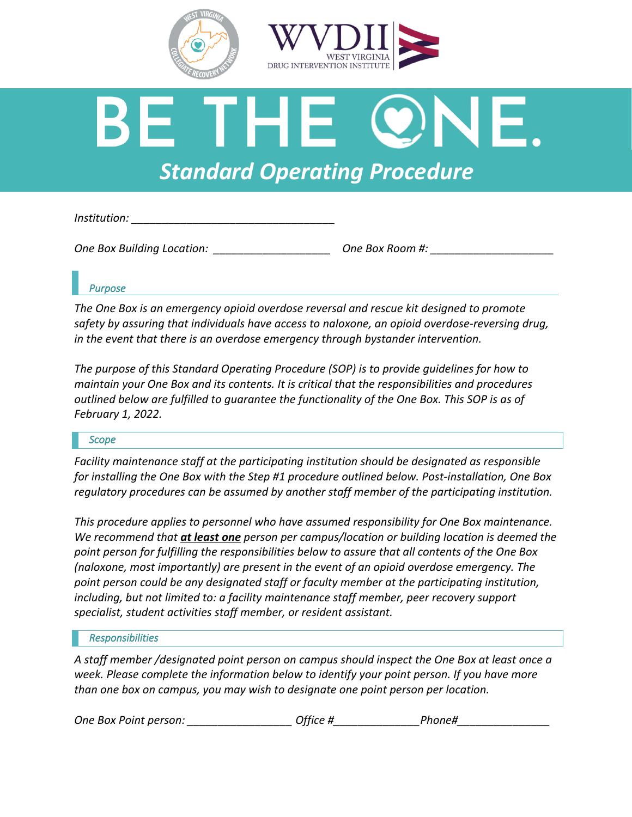



# *Standard Operating Procedure*

*Institution: \_\_\_\_\_\_\_\_\_\_\_\_\_\_\_\_\_\_\_\_\_\_\_\_\_\_\_\_\_\_\_\_\_*

*One Box Building Location: \_\_\_\_\_\_\_\_\_\_\_\_\_\_\_\_\_\_\_ One Box Room #: \_\_\_\_\_\_\_\_\_\_\_\_\_\_\_\_\_\_\_\_*

# *Purpose*

*The One Box is an emergency opioid overdose reversal and rescue kit designed to promote safety by assuring that individuals have access to naloxone, an opioid overdose-reversing drug, in the event that there is an overdose emergency through bystander intervention.* 

*The purpose of this Standard Operating Procedure (SOP) is to provide guidelines for how to maintain your One Box and its contents. It is critical that the responsibilities and procedures outlined below are fulfilled to guarantee the functionality of the One Box. This SOP is as of February 1, 2022.* 

## *Scope*

*Facility maintenance staff at the participating institution should be designated as responsible for installing the One Box with the Step #1 procedure outlined below. Post-installation, One Box regulatory procedures can be assumed by another staff member of the participating institution.* 

*This procedure applies to personnel who have assumed responsibility for One Box maintenance. We recommend that at least one person per campus/location or building location is deemed the point person for fulfilling the responsibilities below to assure that all contents of the One Box (naloxone, most importantly) are present in the event of an opioid overdose emergency. The point person could be any designated staff or faculty member at the participating institution, including, but not limited to: a facility maintenance staff member, peer recovery support specialist, student activities staff member, or resident assistant.*

## *Responsibilities*

*A staff member /designated point person on campus should inspect the One Box at least once a week. Please complete the information below to identify your point person. If you have more than one box on campus, you may wish to designate one point person per location.* 

|  | One Box Point person: | Office # |  | Phone# |
|--|-----------------------|----------|--|--------|
|--|-----------------------|----------|--|--------|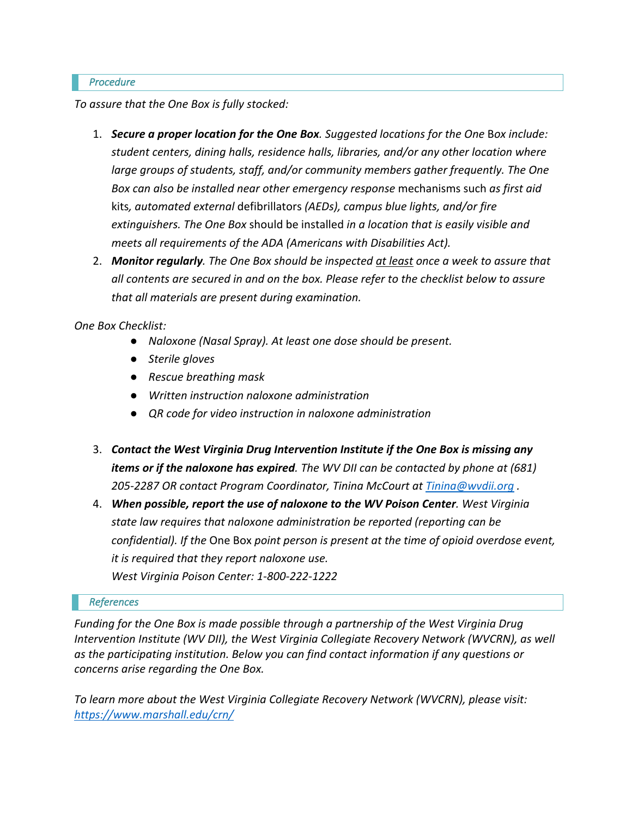### *Procedure*

*To assure that the One Box is fully stocked:*

- 1. *Secure a proper location for the One Box. Suggested locations for the One* B*ox include: student centers, dining halls, residence halls, libraries, and/or any other location where large groups of students, staff, and/or community members gather frequently. The One Box can also be installed near other emergency response* mechanisms such *as first aid*  kits*, automated external* defibrillators *(AEDs), campus blue lights, and/or fire extinguishers. The One Box* should be installed *in a location that is easily visible and meets all requirements of the ADA (Americans with Disabilities Act).*
- 2. *Monitor regularly. The One Box should be inspected at least once a week to assure that all contents are secured in and on the box. Please refer to the checklist below to assure that all materials are present during examination.*

*One Box Checklist:*

- *Naloxone (Nasal Spray). At least one dose should be present.*
- *Sterile gloves*
- *Rescue breathing mask*
- *Written instruction naloxone administration*
- *QR code for video instruction in naloxone administration*
- 3. *Contact the West Virginia Drug Intervention Institute if the One Box is missing any items or if the naloxone has expired. The WV DII can be contacted by phone at (681) 205-2287 OR contact Program Coordinator, Tinina McCourt at Tinina@wvdii.org .*
- 4. *When possible, report the use of naloxone to the WV Poison Center. West Virginia state law requires that naloxone administration be reported (reporting can be confidential). If the* One Box *point person is present at the time of opioid overdose event, it is required that they report naloxone use. West Virginia Poison Center: 1-800-222-1222*

## *References*

*Funding for the One Box is made possible through a partnership of the West Virginia Drug Intervention Institute (WV DII), the West Virginia Collegiate Recovery Network (WVCRN), as well as the participating institution. Below you can find contact information if any questions or concerns arise regarding the One Box.* 

*To learn more about the West Virginia Collegiate Recovery Network (WVCRN), please visit: https://www.marshall.edu/crn/*